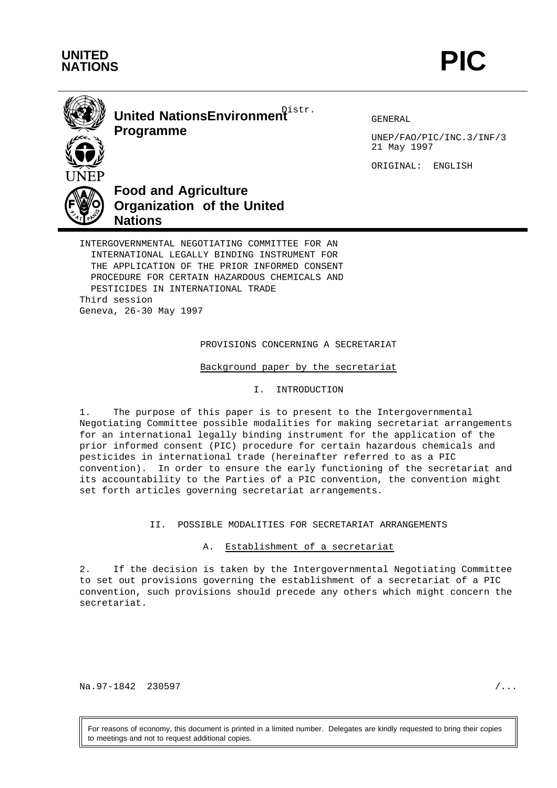



Distr. **United NationsEnvironment Programme**

GENERAL

UNEP/FAO/PIC/INC.3/INF/3 21 May 1997

ORIGINAL: ENGLISH



INTERNATIONAL LEGALLY BINDING INSTRUMENT FOR THE APPLICATION OF THE PRIOR INFORMED CONSENT PROCEDURE FOR CERTAIN HAZARDOUS CHEMICALS AND PESTICIDES IN INTERNATIONAL TRADE Third session Geneva, 26-30 May 1997

PROVISIONS CONCERNING A SECRETARIAT

Background paper by the secretariat

I. INTRODUCTION

1. The purpose of this paper is to present to the Intergovernmental Negotiating Committee possible modalities for making secretariat arrangements for an international legally binding instrument for the application of the prior informed consent (PIC) procedure for certain hazardous chemicals and pesticides in international trade (hereinafter referred to as a PIC convention). In order to ensure the early functioning of the secretariat and its accountability to the Parties of a PIC convention, the convention might set forth articles governing secretariat arrangements.

II. POSSIBLE MODALITIES FOR SECRETARIAT ARRANGEMENTS

A. Establishment of a secretariat

2. If the decision is taken by the Intergovernmental Negotiating Committee to set out provisions governing the establishment of a secretariat of a PIC convention, such provisions should precede any others which might concern the secretariat.

Na.97-1842 230597 / ...

For reasons of economy, this document is printed in a limited number. Delegates are kindly requested to bring their copies to meetings and not to request additional copies.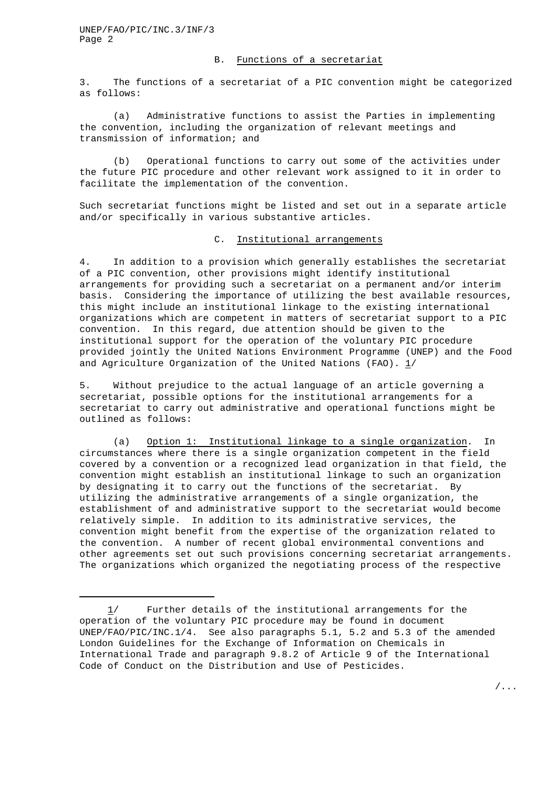UNEP/FAO/PIC/INC.3/INF/3 Page 2

## B. Functions of a secretariat

3. The functions of a secretariat of a PIC convention might be categorized as follows:

(a) Administrative functions to assist the Parties in implementing the convention, including the organization of relevant meetings and transmission of information; and

(b) Operational functions to carry out some of the activities under the future PIC procedure and other relevant work assigned to it in order to facilitate the implementation of the convention.

Such secretariat functions might be listed and set out in a separate article and/or specifically in various substantive articles.

## C. Institutional arrangements

4. In addition to a provision which generally establishes the secretariat of a PIC convention, other provisions might identify institutional arrangements for providing such a secretariat on a permanent and/or interim basis. Considering the importance of utilizing the best available resources, this might include an institutional linkage to the existing international organizations which are competent in matters of secretariat support to a PIC convention. In this regard, due attention should be given to the institutional support for the operation of the voluntary PIC procedure provided jointly the United Nations Environment Programme (UNEP) and the Food and Agriculture Organization of the United Nations (FAO).  $1/$ 

5. Without prejudice to the actual language of an article governing a secretariat, possible options for the institutional arrangements for a secretariat to carry out administrative and operational functions might be outlined as follows:

(a) Option 1: Institutional linkage to a single organization. In circumstances where there is a single organization competent in the field covered by a convention or a recognized lead organization in that field, the convention might establish an institutional linkage to such an organization by designating it to carry out the functions of the secretariat. By utilizing the administrative arrangements of a single organization, the establishment of and administrative support to the secretariat would become relatively simple. In addition to its administrative services, the convention might benefit from the expertise of the organization related to the convention. A number of recent global environmental conventions and other agreements set out such provisions concerning secretariat arrangements. The organizations which organized the negotiating process of the respective

<sup>1/</sup> Further details of the institutional arrangements for the operation of the voluntary PIC procedure may be found in document UNEP/FAO/PIC/INC.1/4. See also paragraphs 5.1, 5.2 and 5.3 of the amended London Guidelines for the Exchange of Information on Chemicals in International Trade and paragraph 9.8.2 of Article 9 of the International Code of Conduct on the Distribution and Use of Pesticides.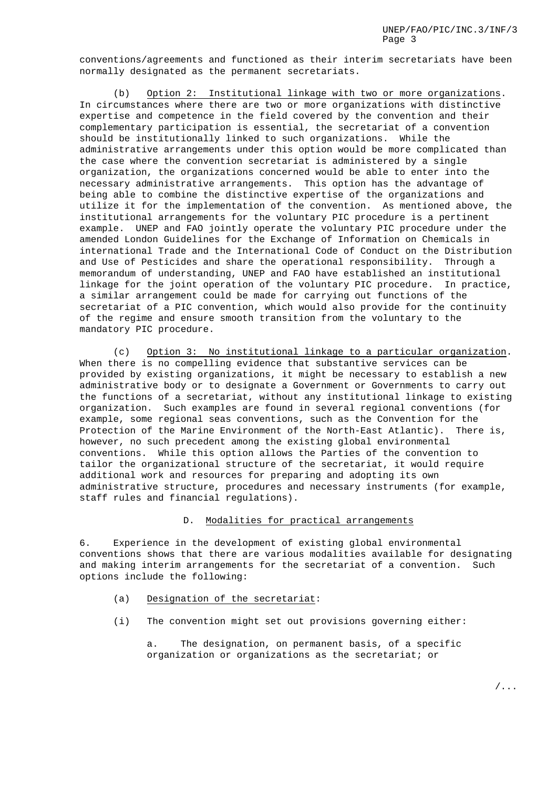conventions/agreements and functioned as their interim secretariats have been normally designated as the permanent secretariats.

(b) Option 2: Institutional linkage with two or more organizations. In circumstances where there are two or more organizations with distinctive expertise and competence in the field covered by the convention and their complementary participation is essential, the secretariat of a convention should be institutionally linked to such organizations. While the administrative arrangements under this option would be more complicated than the case where the convention secretariat is administered by a single organization, the organizations concerned would be able to enter into the necessary administrative arrangements. This option has the advantage of being able to combine the distinctive expertise of the organizations and utilize it for the implementation of the convention. As mentioned above, the institutional arrangements for the voluntary PIC procedure is a pertinent example. UNEP and FAO jointly operate the voluntary PIC procedure under the amended London Guidelines for the Exchange of Information on Chemicals in international Trade and the International Code of Conduct on the Distribution and Use of Pesticides and share the operational responsibility. Through a memorandum of understanding, UNEP and FAO have established an institutional linkage for the joint operation of the voluntary PIC procedure. In practice, a similar arrangement could be made for carrying out functions of the secretariat of a PIC convention, which would also provide for the continuity of the regime and ensure smooth transition from the voluntary to the mandatory PIC procedure.

(c) Option 3: No institutional linkage to a particular organization. When there is no compelling evidence that substantive services can be provided by existing organizations, it might be necessary to establish a new administrative body or to designate a Government or Governments to carry out the functions of a secretariat, without any institutional linkage to existing organization. Such examples are found in several regional conventions (for example, some regional seas conventions, such as the Convention for the Protection of the Marine Environment of the North-East Atlantic). There is, however, no such precedent among the existing global environmental conventions. While this option allows the Parties of the convention to tailor the organizational structure of the secretariat, it would require additional work and resources for preparing and adopting its own administrative structure, procedures and necessary instruments (for example, staff rules and financial regulations).

## D. Modalities for practical arrangements

6. Experience in the development of existing global environmental conventions shows that there are various modalities available for designating and making interim arrangements for the secretariat of a convention. Such options include the following:

- (a) Designation of the secretariat:
- (i) The convention might set out provisions governing either:

a. The designation, on permanent basis, of a specific organization or organizations as the secretariat; or

/...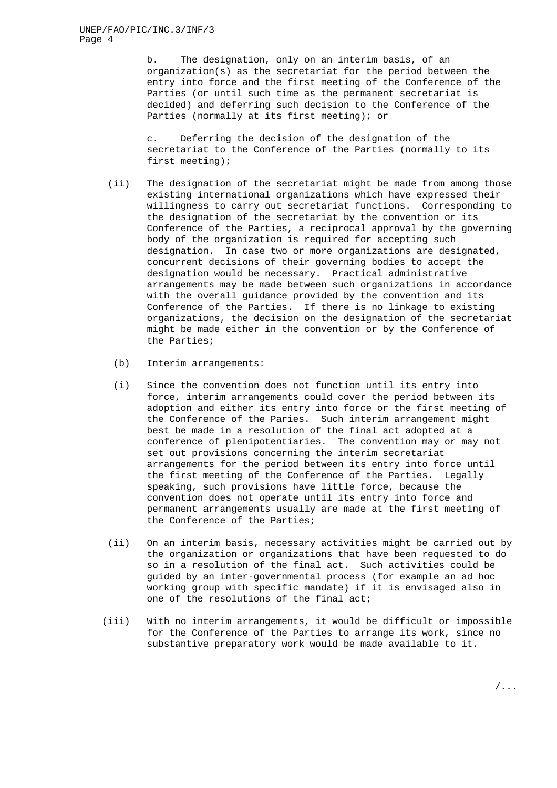b. The designation, only on an interim basis, of an organization(s) as the secretariat for the period between the entry into force and the first meeting of the Conference of the Parties (or until such time as the permanent secretariat is decided) and deferring such decision to the Conference of the Parties (normally at its first meeting); or

c. Deferring the decision of the designation of the secretariat to the Conference of the Parties (normally to its first meeting);

- (ii) The designation of the secretariat might be made from among those existing international organizations which have expressed their willingness to carry out secretariat functions. Corresponding to the designation of the secretariat by the convention or its Conference of the Parties, a reciprocal approval by the governing body of the organization is required for accepting such designation. In case two or more organizations are designated, concurrent decisions of their governing bodies to accept the designation would be necessary. Practical administrative arrangements may be made between such organizations in accordance with the overall guidance provided by the convention and its Conference of the Parties. If there is no linkage to existing organizations, the decision on the designation of the secretariat might be made either in the convention or by the Conference of the Parties;
	- (b) Interim arrangements:
	- (i) Since the convention does not function until its entry into force, interim arrangements could cover the period between its adoption and either its entry into force or the first meeting of the Conference of the Paries. Such interim arrangement might best be made in a resolution of the final act adopted at a conference of plenipotentiaries. The convention may or may not set out provisions concerning the interim secretariat arrangements for the period between its entry into force until the first meeting of the Conference of the Parties. Legally speaking, such provisions have little force, because the convention does not operate until its entry into force and permanent arrangements usually are made at the first meeting of the Conference of the Parties;
- (ii) On an interim basis, necessary activities might be carried out by the organization or organizations that have been requested to do so in a resolution of the final act. Such activities could be guided by an inter-governmental process (for example an ad hoc working group with specific mandate) if it is envisaged also in one of the resolutions of the final act;
- (iii) With no interim arrangements, it would be difficult or impossible for the Conference of the Parties to arrange its work, since no substantive preparatory work would be made available to it.